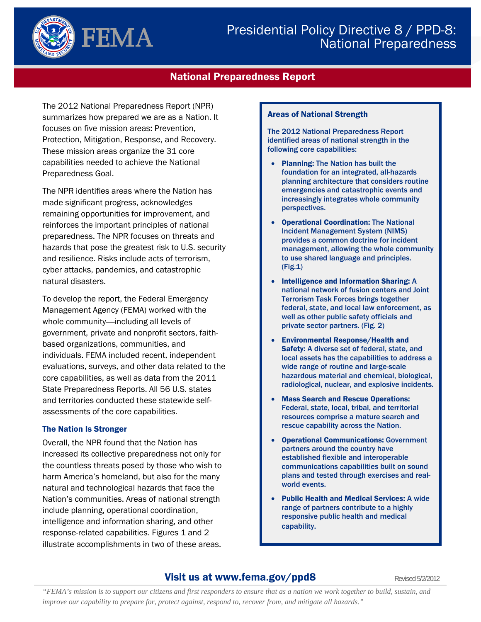

# Presidential Policy Directive 8 / PPD-8: National Preparedness

# National Preparedness Report

The 2012 National Preparedness Report (NPR) summarizes how prepared we are as a Nation. It focuses on five mission areas: Prevention, Protection, Mitigation, Response, and Recovery. These mission areas organize the 31 core capabilities needed to achieve the National Preparedness Goal.

The NPR identifies areas where the Nation has made significant progress, acknowledges remaining opportunities for improvement, and reinforces the important principles of national preparedness. The NPR focuses on threats and hazards that pose the greatest risk to U.S. security and resilience. Risks include acts of terrorism, cyber attacks, pandemics, and catastrophic natural disasters.

To develop the report, the Federal Emergency Management Agency (FEMA) worked with the whole community—including all levels of government, private and nonprofit sectors, faithbased organizations, communities, and individuals. FEMA included recent, independent evaluations, surveys, and other data related to the core capabilities, as well as data from the 2011 State Preparedness Reports. All 56 U.S. states and territories conducted these statewide selfassessments of the core capabilities.

#### The Nation Is Stronger

Overall, the NPR found that the Nation has increased its collective preparedness not only for the countless threats posed by those who wish to harm America's homeland, but also for the many natural and technological hazards that face the Nation's communities. Areas of national strength include planning, operational coordination, intelligence and information sharing, and other response-related capabilities. Figures 1 and 2 illustrate accomplishments in two of these areas.

#### Areas of National Strength

The 2012 National Preparedness Report identified areas of national strength in the following core capabilities:

- Planning: The Nation has built the foundation for an integrated, all-hazards planning architecture that considers routine emergencies and catastrophic events and increasingly integrates whole community perspectives.
- Operational Coordination: The National Incident Management System (NIMS) provides a common doctrine for incident management, allowing the whole community to use shared language and principles. (Fig.1)
- Intelligence and Information Sharing: A national network of fusion centers and Joint Terrorism Task Forces brings together federal, state, and local law enforcement, as well as other public safety officials and private sector partners. (Fig. 2)
- Environmental Response/Health and Safety: A diverse set of federal, state, and local assets has the capabilities to address a wide range of routine and large-scale hazardous material and chemical, biological, radiological, nuclear, and explosive incidents.
- Mass Search and Rescue Operations: Federal, state, local, tribal, and territorial resources comprise a mature search and rescue capability across the Nation.
- Operational Communications: Government partners around the country have established flexible and interoperable communications capabilities built on sound plans and tested through exercises and realworld events.
- Public Health and Medical Services: A wide range of partners contribute to a highly responsive public health and medical capability.

# **Visit us at www.fema.gov/ppd8** Revised 5/2/2012

*"FEMA's mission is to support our citizens and first responders to ensure that as a nation we work together to build, sustain, and improve our capability to prepare for, protect against, respond to, recover from, and mitigate all hazards."*